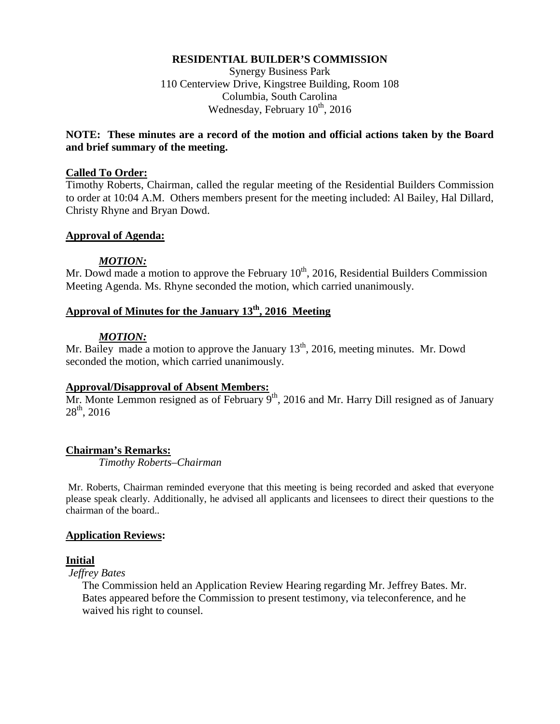#### **RESIDENTIAL BUILDER'S COMMISSION**

Synergy Business Park 110 Centerview Drive, Kingstree Building, Room 108 Columbia, South Carolina Wednesday, February  $10^{th}$ , 2016

#### **NOTE: These minutes are a record of the motion and official actions taken by the Board and brief summary of the meeting.**

#### **Called To Order:**

Timothy Roberts, Chairman, called the regular meeting of the Residential Builders Commission to order at 10:04 A.M. Others members present for the meeting included: Al Bailey, Hal Dillard, Christy Rhyne and Bryan Dowd.

#### **Approval of Agenda:**

#### *MOTION:*

Mr. Dowd made a motion to approve the February  $10^{th}$ , 2016, Residential Builders Commission Meeting Agenda. Ms. Rhyne seconded the motion, which carried unanimously.

### **Approval of Minutes for the January 13th, 2016 Meeting**

#### *MOTION:*

Mr. Bailey made a motion to approve the January  $13<sup>th</sup>$ , 2016, meeting minutes. Mr. Dowd seconded the motion, which carried unanimously.

#### **Approval/Disapproval of Absent Members:**

Mr. Monte Lemmon resigned as of February  $9<sup>th</sup>$ , 2016 and Mr. Harry Dill resigned as of January 28<sup>th</sup>, 2016

#### **Chairman's Remarks:**

*Timothy Roberts–Chairman*

Mr. Roberts, Chairman reminded everyone that this meeting is being recorded and asked that everyone please speak clearly. Additionally, he advised all applicants and licensees to direct their questions to the chairman of the board..

#### **Application Reviews:**

#### **Initial**

*Jeffrey Bates*

The Commission held an Application Review Hearing regarding Mr. Jeffrey Bates. Mr. Bates appeared before the Commission to present testimony, via teleconference, and he waived his right to counsel.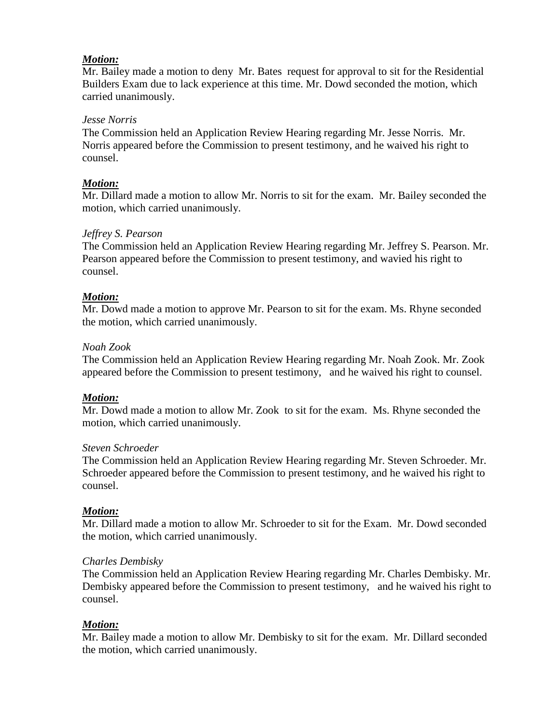## *Motion:*

Mr. Bailey made a motion to deny Mr. Bates request for approval to sit for the Residential Builders Exam due to lack experience at this time. Mr. Dowd seconded the motion, which carried unanimously.

#### *Jesse Norris*

The Commission held an Application Review Hearing regarding Mr. Jesse Norris. Mr. Norris appeared before the Commission to present testimony, and he waived his right to counsel.

### *Motion:*

Mr. Dillard made a motion to allow Mr. Norris to sit for the exam. Mr. Bailey seconded the motion, which carried unanimously.

### *Jeffrey S. Pearson*

The Commission held an Application Review Hearing regarding Mr. Jeffrey S. Pearson. Mr. Pearson appeared before the Commission to present testimony, and wavied his right to counsel.

### *Motion:*

Mr. Dowd made a motion to approve Mr. Pearson to sit for the exam. Ms. Rhyne seconded the motion, which carried unanimously.

### *Noah Zook*

The Commission held an Application Review Hearing regarding Mr. Noah Zook. Mr. Zook appeared before the Commission to present testimony, and he waived his right to counsel.

#### *Motion:*

Mr. Dowd made a motion to allow Mr. Zook to sit for the exam. Ms. Rhyne seconded the motion, which carried unanimously.

#### *Steven Schroeder*

The Commission held an Application Review Hearing regarding Mr. Steven Schroeder. Mr. Schroeder appeared before the Commission to present testimony, and he waived his right to counsel.

## *Motion:*

Mr. Dillard made a motion to allow Mr. Schroeder to sit for the Exam. Mr. Dowd seconded the motion, which carried unanimously.

#### *Charles Dembisky*

The Commission held an Application Review Hearing regarding Mr. Charles Dembisky. Mr. Dembisky appeared before the Commission to present testimony, and he waived his right to counsel.

## *Motion:*

Mr. Bailey made a motion to allow Mr. Dembisky to sit for the exam. Mr. Dillard seconded the motion, which carried unanimously.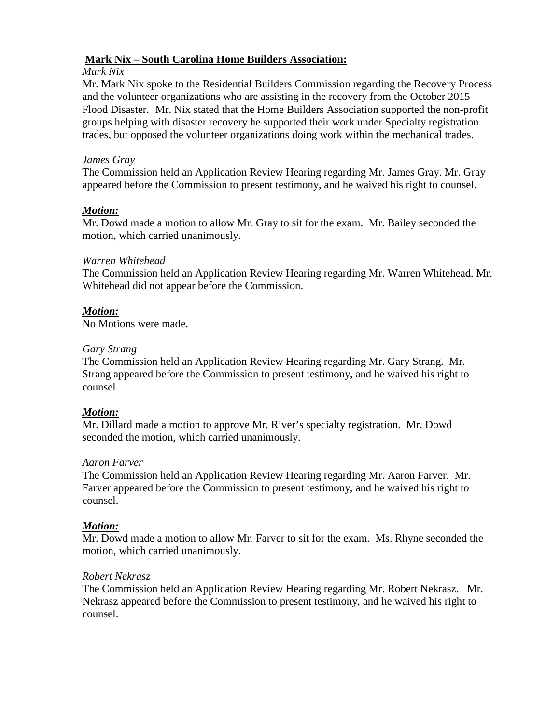## **Mark Nix – South Carolina Home Builders Association:**

## *Mark Nix*

Mr. Mark Nix spoke to the Residential Builders Commission regarding the Recovery Process and the volunteer organizations who are assisting in the recovery from the October 2015 Flood Disaster. Mr. Nix stated that the Home Builders Association supported the non-profit groups helping with disaster recovery he supported their work under Specialty registration trades, but opposed the volunteer organizations doing work within the mechanical trades.

## *James Gray*

The Commission held an Application Review Hearing regarding Mr. James Gray. Mr. Gray appeared before the Commission to present testimony, and he waived his right to counsel.

## *Motion:*

Mr. Dowd made a motion to allow Mr. Gray to sit for the exam. Mr. Bailey seconded the motion, which carried unanimously.

## *Warren Whitehead*

The Commission held an Application Review Hearing regarding Mr. Warren Whitehead. Mr. Whitehead did not appear before the Commission.

## *Motion:*

No Motions were made.

## *Gary Strang*

The Commission held an Application Review Hearing regarding Mr. Gary Strang. Mr. Strang appeared before the Commission to present testimony, and he waived his right to counsel.

## *Motion:*

Mr. Dillard made a motion to approve Mr. River's specialty registration. Mr. Dowd seconded the motion, which carried unanimously.

## *Aaron Farver*

The Commission held an Application Review Hearing regarding Mr. Aaron Farver. Mr. Farver appeared before the Commission to present testimony, and he waived his right to counsel.

## *Motion:*

Mr. Dowd made a motion to allow Mr. Farver to sit for the exam. Ms. Rhyne seconded the motion, which carried unanimously.

## *Robert Nekrasz*

The Commission held an Application Review Hearing regarding Mr. Robert Nekrasz. Mr. Nekrasz appeared before the Commission to present testimony, and he waived his right to counsel.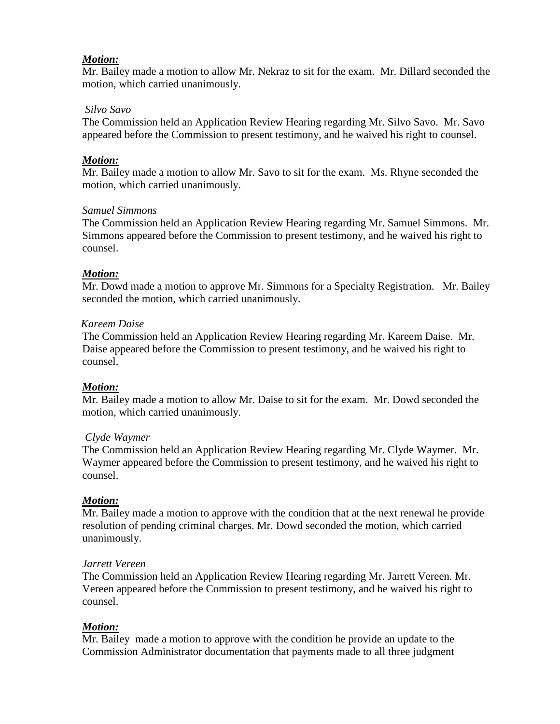## *Motion:*

Mr. Bailey made a motion to allow Mr. Nekraz to sit for the exam. Mr. Dillard seconded the motion, which carried unanimously.

#### *Silvo Savo*

The Commission held an Application Review Hearing regarding Mr. Silvo Savo. Mr. Savo appeared before the Commission to present testimony, and he waived his right to counsel.

#### *Motion:*

Mr. Bailey made a motion to allow Mr. Savo to sit for the exam. Ms. Rhyne seconded the motion, which carried unanimously.

#### *Samuel Simmons*

The Commission held an Application Review Hearing regarding Mr. Samuel Simmons. Mr. Simmons appeared before the Commission to present testimony, and he waived his right to counsel.

#### *Motion:*

Mr. Dowd made a motion to approve Mr. Simmons for a Specialty Registration. Mr. Bailey seconded the motion, which carried unanimously.

#### *Kareem Daise*

The Commission held an Application Review Hearing regarding Mr. Kareem Daise. Mr. Daise appeared before the Commission to present testimony, and he waived his right to counsel.

#### *Motion:*

Mr. Bailey made a motion to allow Mr. Daise to sit for the exam. Mr. Dowd seconded the motion, which carried unanimously.

#### *Clyde Waymer*

The Commission held an Application Review Hearing regarding Mr. Clyde Waymer. Mr. Waymer appeared before the Commission to present testimony, and he waived his right to counsel.

#### *Motion:*

Mr. Bailey made a motion to approve with the condition that at the next renewal he provide resolution of pending criminal charges. Mr. Dowd seconded the motion, which carried unanimously.

#### *Jarrett Vereen*

The Commission held an Application Review Hearing regarding Mr. Jarrett Vereen. Mr. Vereen appeared before the Commission to present testimony, and he waived his right to counsel.

#### *Motion:*

Mr. Bailey made a motion to approve with the condition he provide an update to the Commission Administrator documentation that payments made to all three judgment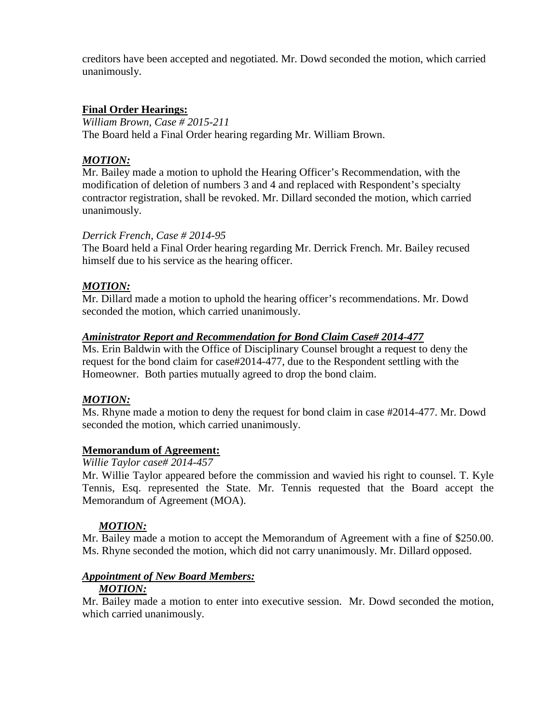creditors have been accepted and negotiated. Mr. Dowd seconded the motion, which carried unanimously.

### **Final Order Hearings:**

*William Brown, Case # 2015-211* The Board held a Final Order hearing regarding Mr. William Brown.

## *MOTION:*

Mr. Bailey made a motion to uphold the Hearing Officer's Recommendation, with the modification of deletion of numbers 3 and 4 and replaced with Respondent's specialty contractor registration, shall be revoked. Mr. Dillard seconded the motion, which carried unanimously.

### *Derrick French, Case # 2014-95*

The Board held a Final Order hearing regarding Mr. Derrick French. Mr. Bailey recused himself due to his service as the hearing officer.

## *MOTION:*

Mr. Dillard made a motion to uphold the hearing officer's recommendations. Mr. Dowd seconded the motion, which carried unanimously.

### *Aministrator Report and Recommendation for Bond Claim Case# 2014-477*

Ms. Erin Baldwin with the Office of Disciplinary Counsel brought a request to deny the request for the bond claim for case#2014-477, due to the Respondent settling with the Homeowner. Both parties mutually agreed to drop the bond claim.

## *MOTION:*

Ms. Rhyne made a motion to deny the request for bond claim in case #2014-477. Mr. Dowd seconded the motion, which carried unanimously.

## **Memorandum of Agreement:**

#### *Willie Taylor case# 2014-457*

Mr. Willie Taylor appeared before the commission and wavied his right to counsel. T. Kyle Tennis, Esq. represented the State. Mr. Tennis requested that the Board accept the Memorandum of Agreement (MOA).

## *MOTION:*

Mr. Bailey made a motion to accept the Memorandum of Agreement with a fine of \$250.00. Ms. Rhyne seconded the motion, which did not carry unanimously. Mr. Dillard opposed.

## *Appointment of New Board Members:*

#### *MOTION:*

Mr. Bailey made a motion to enter into executive session. Mr. Dowd seconded the motion, which carried unanimously.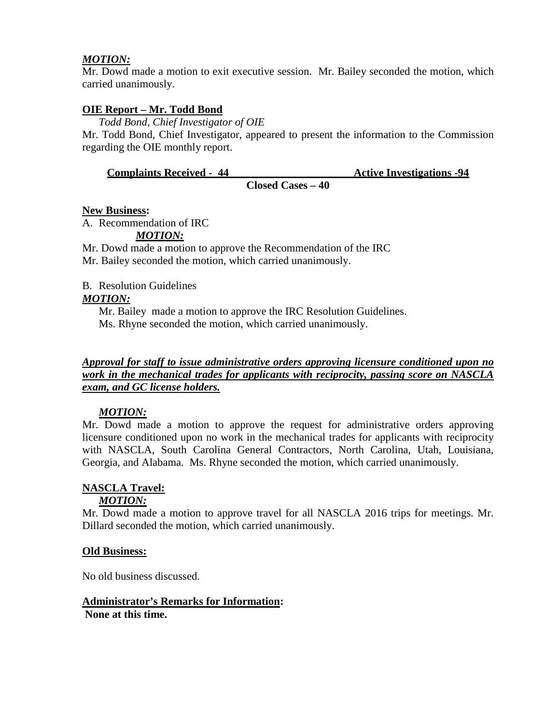## *MOTION:*

Mr. Dowd made a motion to exit executive session. Mr. Bailey seconded the motion, which carried unanimously.

## **OIE Report – Mr. Todd Bond**

*Todd Bond, Chief Investigator of OIE*

Mr. Todd Bond, Chief Investigator, appeared to present the information to the Commission regarding the OIE monthly report.

# **Complaints Received - 44 Active Investigations -94**

## **Closed Cases – 40**

## **New Business:**

A. Recommendation of IRC

## *MOTION:*

Mr. Dowd made a motion to approve the Recommendation of the IRC

Mr. Bailey seconded the motion, which carried unanimously.

B. Resolution Guidelines

# *MOTION:*

Mr. Bailey made a motion to approve the IRC Resolution Guidelines. Ms. Rhyne seconded the motion, which carried unanimously.

## *Approval for staff to issue administrative orders approving licensure conditioned upon no work in the mechanical trades for applicants with reciprocity, passing score on NASCLA exam, and GC license holders.*

# *MOTION:*

Mr. Dowd made a motion to approve the request for administrative orders approving licensure conditioned upon no work in the mechanical trades for applicants with reciprocity with NASCLA, South Carolina General Contractors, North Carolina, Utah, Louisiana, Georgia, and Alabama. Ms. Rhyne seconded the motion, which carried unanimously.

# **NASCLA Travel:**

*MOTION:*

Mr. Dowd made a motion to approve travel for all NASCLA 2016 trips for meetings. Mr. Dillard seconded the motion, which carried unanimously.

## **Old Business:**

No old business discussed.

# **Administrator's Remarks for Information:**

**None at this time.**